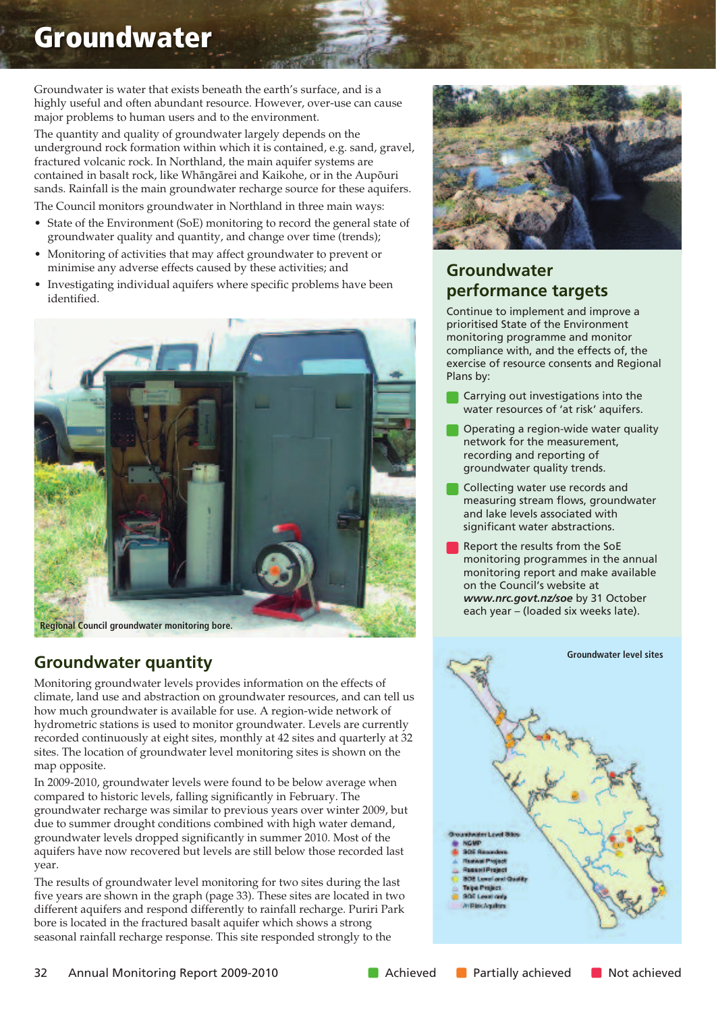# **Groundwater**

Groundwater is water that exists beneath the earth's surface, and is a highly useful and often abundant resource. However, over-use can cause major problems to human users and to the environment.

The quantity and quality of groundwater largely depends on the underground rock formation within which it is contained, e.g. sand, gravel, fractured volcanic rock. In Northland, the main aquifer systems are contained in basalt rock, like Whängärei and Kaikohe, or in the Aupöuri sands. Rainfall is the main groundwater recharge source for these aquifers.

The Council monitors groundwater in Northland in three main ways:

- State of the Environment (SoE) monitoring to record the general state of groundwater quality and quantity, and change over time (trends);
- Monitoring of activities that may affect groundwater to prevent or minimise any adverse effects caused by these activities; and
- Investigating individual aquifers where specific problems have been identified.



## **Groundwater quantity**

Monitoring groundwater levels provides information on the effects of climate, land use and abstraction on groundwater resources, and can tell us how much groundwater is available for use. A region-wide network of hydrometric stations is used to monitor groundwater. Levels are currently recorded continuously at eight sites, monthly at 42 sites and quarterly at 32 sites. The location of groundwater level monitoring sites is shown on the map opposite.

In 2009-2010, groundwater levels were found to be below average when compared to historic levels, falling significantly in February. The groundwater recharge was similar to previous years over winter 2009, but due to summer drought conditions combined with high water demand, groundwater levels dropped significantly in summer 2010. Most of the aquifers have now recovered but levels are still below those recorded last year.

The results of groundwater level monitoring for two sites during the last five years are shown in the graph (page 33). These sites are located in two different aquifers and respond differently to rainfall recharge. Puriri Park bore is located in the fractured basalt aquifer which shows a strong seasonal rainfall recharge response. This site responded strongly to the



## **Groundwater performance targets**

Continue to implement and improve a prioritised State of the Environment monitoring programme and monitor compliance with, and the effects of, the exercise of resource consents and Regional Plans by:

- Carrying out investigations into the water resources of 'at risk' aquifers.
- Operating a region-wide water quality network for the measurement, recording and reporting of groundwater quality trends.
- Collecting water use records and measuring stream flows, groundwater and lake levels associated with significant water abstractions.
- Report the results from the SoE monitoring programmes in the annual monitoring report and make available on the Council's website at *www.nrc.govt.nz/soe* by 31 October each year – (loaded six weeks late).

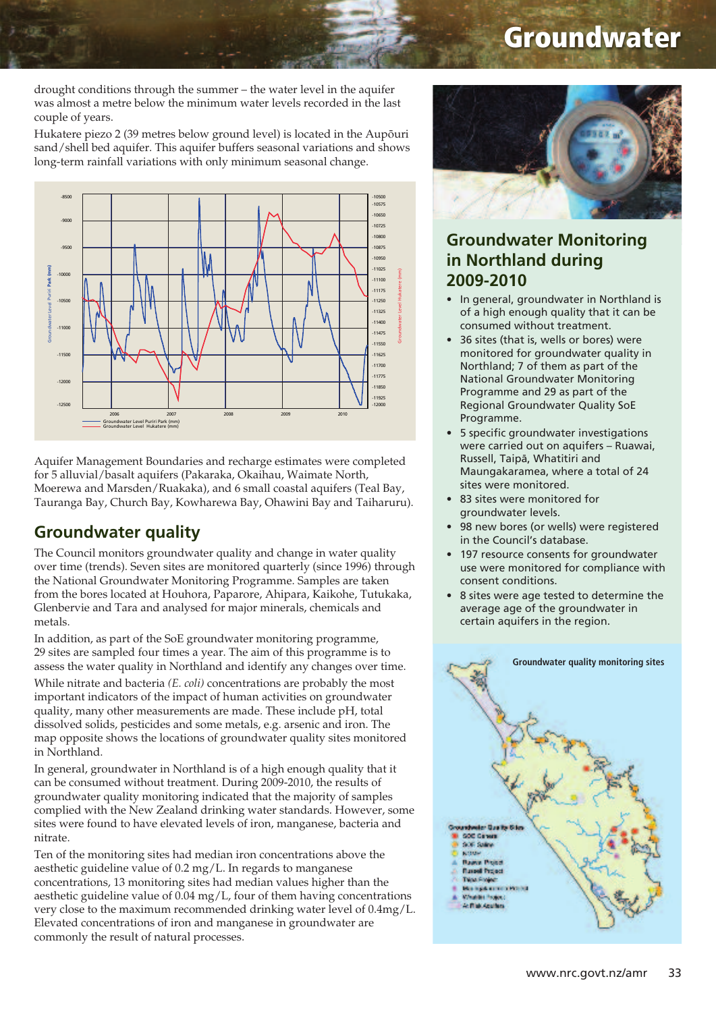# **Groundwater**

drought conditions through the summer – the water level in the aquifer was almost a metre below the minimum water levels recorded in the last couple of years.

Hukatere piezo 2 (39 metres below ground level) is located in the Aupöuri sand/shell bed aquifer. This aquifer buffers seasonal variations and shows long-term rainfall variations with only minimum seasonal change.



Aquifer Management Boundaries and recharge estimates were completed for 5 alluvial/basalt aquifers (Pakaraka, Okaihau, Waimate North, Moerewa and Marsden/Ruakaka), and 6 small coastal aquifers (Teal Bay, Tauranga Bay, Church Bay, Kowharewa Bay, Ohawini Bay and Taiharuru).

### **Groundwater quality**

The Council monitors groundwater quality and change in water quality over time (trends). Seven sites are monitored quarterly (since 1996) through the National Groundwater Monitoring Programme. Samples are taken from the bores located at Houhora, Paparore, Ahipara, Kaikohe, Tutukaka, Glenbervie and Tara and analysed for major minerals, chemicals and metals.

In addition, as part of the SoE groundwater monitoring programme, 29 sites are sampled four times a year. The aim of this programme is to assess the water quality in Northland and identify any changes over time.

While nitrate and bacteria *(E. coli)* concentrations are probably the most important indicators of the impact of human activities on groundwater quality, many other measurements are made. These include pH, total dissolved solids, pesticides and some metals, e.g. arsenic and iron. The map opposite shows the locations of groundwater quality sites monitored in Northland.

In general, groundwater in Northland is of a high enough quality that it can be consumed without treatment. During 2009-2010, the results of groundwater quality monitoring indicated that the majority of samples complied with the New Zealand drinking water standards. However, some sites were found to have elevated levels of iron, manganese, bacteria and nitrate.

Ten of the monitoring sites had median iron concentrations above the aesthetic guideline value of 0.2 mg/L. In regards to manganese concentrations, 13 monitoring sites had median values higher than the aesthetic guideline value of 0.04 mg/L, four of them having concentrations very close to the maximum recommended drinking water level of 0.4mg/L. Elevated concentrations of iron and manganese in groundwater are commonly the result of natural processes.



### **Groundwater Monitoring in Northland during 2009-2010**

- In general, groundwater in Northland is of a high enough quality that it can be consumed without treatment.
- 36 sites (that is, wells or bores) were monitored for groundwater quality in Northland; 7 of them as part of the National Groundwater Monitoring Programme and 29 as part of the Regional Groundwater Quality SoE Programme.
- 5 specific groundwater investigations were carried out on aquifers – Ruawai, Russell, Taipä, Whatitiri and Maungakaramea, where a total of 24 sites were monitored.
- 83 sites were monitored for groundwater levels.
- 98 new bores (or wells) were registered in the Council's database.
- 197 resource consents for groundwater use were monitored for compliance with consent conditions.
- 8 sites were age tested to determine the average age of the groundwater in certain aquifers in the region.